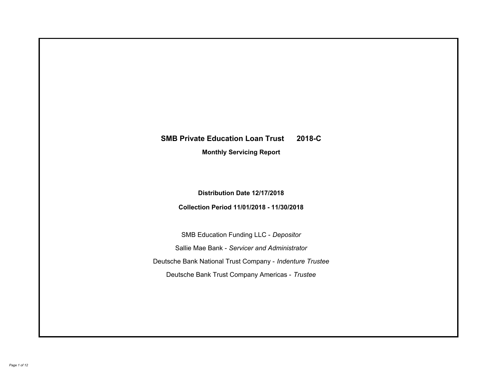# **SMB Private Education Loan Trust 2018-C Monthly Servicing Report**

**Distribution Date 12/17/2018**

**Collection Period 11/01/2018 - 11/30/2018**

SMB Education Funding LLC - *Depositor* Sallie Mae Bank - *Servicer and Administrator* Deutsche Bank National Trust Company - *Indenture Trustee* Deutsche Bank Trust Company Americas - *Trustee*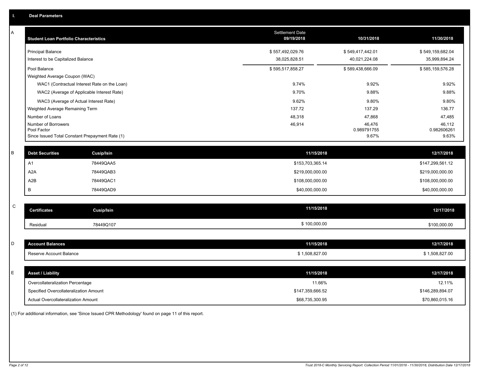| <b>Student Loan Portfolio Characteristics</b> | <b>Settlement Date</b><br>09/19/2018                           | 10/31/2018       | 11/30/2018                                                                                                                                                                                                                           |
|-----------------------------------------------|----------------------------------------------------------------|------------------|--------------------------------------------------------------------------------------------------------------------------------------------------------------------------------------------------------------------------------------|
| <b>Principal Balance</b>                      | \$557,492,029.76                                               | \$549,417,442.01 | \$549,159,682.04                                                                                                                                                                                                                     |
| Interest to be Capitalized Balance            | 38,025,828.51                                                  | 40,021,224.08    | 35,999,894.24                                                                                                                                                                                                                        |
| Pool Balance                                  | \$595,517,858.27                                               | \$589,438,666.09 | \$585,159,576.28                                                                                                                                                                                                                     |
| Weighted Average Coupon (WAC)                 |                                                                |                  |                                                                                                                                                                                                                                      |
| WAC1 (Contractual Interest Rate on the Loan)  | 9.74%                                                          | 9.92%            | 9.92%                                                                                                                                                                                                                                |
| WAC2 (Average of Applicable Interest Rate)    | 9.70%                                                          | 9.88%            | 9.88%                                                                                                                                                                                                                                |
| WAC3 (Average of Actual Interest Rate)        | 9.62%                                                          | 9.80%            | 9.80%                                                                                                                                                                                                                                |
| Weighted Average Remaining Term               | 137.72                                                         | 137.29           | 136.77                                                                                                                                                                                                                               |
| Number of Loans                               | 48,318                                                         | 47,868           | 47,485                                                                                                                                                                                                                               |
| Number of Borrowers                           | 46,914                                                         | 46,476           | 46,112                                                                                                                                                                                                                               |
|                                               |                                                                |                  | 0.982606261<br>9.63%                                                                                                                                                                                                                 |
|                                               |                                                                |                  |                                                                                                                                                                                                                                      |
| <b>Debt Securities</b><br>Cusip/Isin          |                                                                |                  | 12/17/2018                                                                                                                                                                                                                           |
| 78449QAA5<br>A1                               |                                                                |                  | \$147,299,561.12                                                                                                                                                                                                                     |
| A <sub>2</sub> A<br>78449QAB3                 |                                                                |                  | \$219,000,000.00                                                                                                                                                                                                                     |
| A2B<br>78449QAC1                              |                                                                |                  | \$108,000,000.00                                                                                                                                                                                                                     |
| B<br>78449QAD9                                |                                                                |                  | \$40,000,000.00                                                                                                                                                                                                                      |
|                                               |                                                                |                  |                                                                                                                                                                                                                                      |
| <b>Certificates</b><br><b>Cusip/Isin</b>      |                                                                |                  | 12/17/2018                                                                                                                                                                                                                           |
| 78449Q107<br>Residual                         |                                                                |                  | \$100,000.00                                                                                                                                                                                                                         |
|                                               |                                                                |                  |                                                                                                                                                                                                                                      |
| <b>Account Balances</b>                       |                                                                |                  | 12/17/2018                                                                                                                                                                                                                           |
| Reserve Account Balance                       |                                                                |                  | \$1,508,827.00                                                                                                                                                                                                                       |
|                                               |                                                                |                  |                                                                                                                                                                                                                                      |
| <b>Asset / Liability</b>                      |                                                                |                  | 12/17/2018                                                                                                                                                                                                                           |
| Overcollateralization Percentage              |                                                                | 11.66%           | 12.11%                                                                                                                                                                                                                               |
| Specified Overcollateralization Amount        |                                                                |                  | \$146,289,894.07                                                                                                                                                                                                                     |
| <b>Actual Overcollateralization Amount</b>    |                                                                |                  | \$70,860,015.16                                                                                                                                                                                                                      |
|                                               | Pool Factor<br>Since Issued Total Constant Prepayment Rate (1) |                  | 0.989791755<br>9.67%<br>11/15/2018<br>\$153,703,365.14<br>\$219,000,000.00<br>\$108,000,000.00<br>\$40,000,000.00<br>11/15/2018<br>\$100,000.00<br>11/15/2018<br>\$1,508,827.00<br>11/15/2018<br>\$147,359,666.52<br>\$68,735,300.95 |

(1) For additional information, see 'Since Issued CPR Methodology' found on page 11 of this report.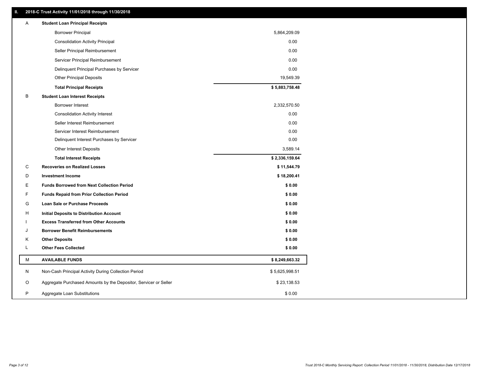# **II. 2018-C Trust Activity 11/01/2018 through 11/30/2018**

| <b>Borrower Principal</b><br>5,864,209.09<br>0.00<br><b>Consolidation Activity Principal</b><br>0.00<br>Seller Principal Reimbursement<br>0.00<br>Servicer Principal Reimbursement<br>0.00<br>Delinquent Principal Purchases by Servicer<br>19,549.39<br><b>Other Principal Deposits</b><br>\$5,883,758.48<br><b>Total Principal Receipts</b><br>В<br><b>Student Loan Interest Receipts</b><br>Borrower Interest<br>2,332,570.50<br>0.00<br><b>Consolidation Activity Interest</b> |  |
|------------------------------------------------------------------------------------------------------------------------------------------------------------------------------------------------------------------------------------------------------------------------------------------------------------------------------------------------------------------------------------------------------------------------------------------------------------------------------------|--|
|                                                                                                                                                                                                                                                                                                                                                                                                                                                                                    |  |
|                                                                                                                                                                                                                                                                                                                                                                                                                                                                                    |  |
|                                                                                                                                                                                                                                                                                                                                                                                                                                                                                    |  |
|                                                                                                                                                                                                                                                                                                                                                                                                                                                                                    |  |
|                                                                                                                                                                                                                                                                                                                                                                                                                                                                                    |  |
|                                                                                                                                                                                                                                                                                                                                                                                                                                                                                    |  |
|                                                                                                                                                                                                                                                                                                                                                                                                                                                                                    |  |
|                                                                                                                                                                                                                                                                                                                                                                                                                                                                                    |  |
|                                                                                                                                                                                                                                                                                                                                                                                                                                                                                    |  |
|                                                                                                                                                                                                                                                                                                                                                                                                                                                                                    |  |
| 0.00<br>Seller Interest Reimbursement                                                                                                                                                                                                                                                                                                                                                                                                                                              |  |
| 0.00<br>Servicer Interest Reimbursement                                                                                                                                                                                                                                                                                                                                                                                                                                            |  |
| 0.00<br>Delinquent Interest Purchases by Servicer                                                                                                                                                                                                                                                                                                                                                                                                                                  |  |
| <b>Other Interest Deposits</b><br>3,589.14                                                                                                                                                                                                                                                                                                                                                                                                                                         |  |
| \$2,336,159.64<br><b>Total Interest Receipts</b>                                                                                                                                                                                                                                                                                                                                                                                                                                   |  |
| C<br><b>Recoveries on Realized Losses</b><br>\$11,544.79                                                                                                                                                                                                                                                                                                                                                                                                                           |  |
| D<br><b>Investment Income</b><br>\$18,200.41                                                                                                                                                                                                                                                                                                                                                                                                                                       |  |
| E<br><b>Funds Borrowed from Next Collection Period</b><br>\$0.00                                                                                                                                                                                                                                                                                                                                                                                                                   |  |
| F<br>\$0.00<br><b>Funds Repaid from Prior Collection Period</b>                                                                                                                                                                                                                                                                                                                                                                                                                    |  |
| G<br>\$0.00<br><b>Loan Sale or Purchase Proceeds</b>                                                                                                                                                                                                                                                                                                                                                                                                                               |  |
| \$0.00<br>н<br>Initial Deposits to Distribution Account                                                                                                                                                                                                                                                                                                                                                                                                                            |  |
| \$0.00<br><b>Excess Transferred from Other Accounts</b>                                                                                                                                                                                                                                                                                                                                                                                                                            |  |
| <b>Borrower Benefit Reimbursements</b><br>\$0.00<br>J                                                                                                                                                                                                                                                                                                                                                                                                                              |  |
| Κ<br><b>Other Deposits</b><br>\$0.00                                                                                                                                                                                                                                                                                                                                                                                                                                               |  |
| L<br><b>Other Fees Collected</b><br>\$0.00                                                                                                                                                                                                                                                                                                                                                                                                                                         |  |
| М<br><b>AVAILABLE FUNDS</b><br>\$8,249,663.32                                                                                                                                                                                                                                                                                                                                                                                                                                      |  |
| N<br>Non-Cash Principal Activity During Collection Period<br>\$5,625,998.51                                                                                                                                                                                                                                                                                                                                                                                                        |  |
| O<br>Aggregate Purchased Amounts by the Depositor, Servicer or Seller<br>\$23,138.53                                                                                                                                                                                                                                                                                                                                                                                               |  |
| P<br>\$0.00<br>Aggregate Loan Substitutions                                                                                                                                                                                                                                                                                                                                                                                                                                        |  |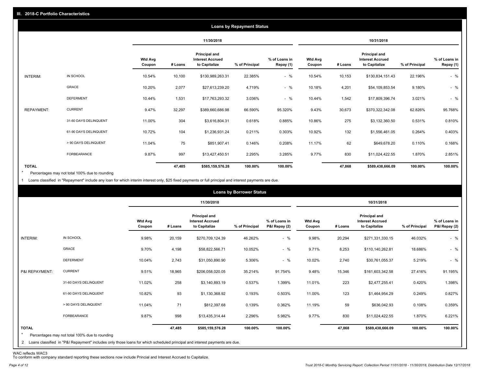|                   |                       |                          |         |                                                           | <b>Loans by Repayment Status</b> |                            |                          |         |                                                           |                |                            |
|-------------------|-----------------------|--------------------------|---------|-----------------------------------------------------------|----------------------------------|----------------------------|--------------------------|---------|-----------------------------------------------------------|----------------|----------------------------|
|                   |                       |                          |         | 11/30/2018                                                |                                  |                            |                          |         | 10/31/2018                                                |                |                            |
|                   |                       | <b>Wtd Avg</b><br>Coupon | # Loans | Principal and<br><b>Interest Accrued</b><br>to Capitalize | % of Principal                   | % of Loans in<br>Repay (1) | <b>Wtd Avg</b><br>Coupon | # Loans | Principal and<br><b>Interest Accrued</b><br>to Capitalize | % of Principal | % of Loans in<br>Repay (1) |
| INTERIM:          | IN SCHOOL             | 10.54%                   | 10,100  | \$130,989,263.31                                          | 22.385%                          | $-$ %                      | 10.54%                   | 10,153  | \$130,834,151.43                                          | 22.196%        | $-$ %                      |
|                   | GRACE                 | 10.20%                   | 2,077   | \$27,613,239.20                                           | 4.719%                           | $-$ %                      | 10.18%                   | 4,201   | \$54,109,853.54                                           | 9.180%         | $-$ %                      |
|                   | <b>DEFERMENT</b>      | 10.44%                   | 1,531   | \$17,763,293.32                                           | 3.036%                           | $-$ %                      | 10.44%                   | 1,542   | \$17,809,396.74                                           | 3.021%         | $-$ %                      |
| <b>REPAYMENT:</b> | <b>CURRENT</b>        | 9.47%                    | 32,297  | \$389,660,686.98                                          | 66.590%                          | 95.320%                    | 9.43%                    | 30,673  | \$370,322,342.08                                          | 62.826%        | 95.768%                    |
|                   | 31-60 DAYS DELINQUENT | 11.00%                   | 304     | \$3,616,804.31                                            | 0.618%                           | 0.885%                     | 10.86%                   | 275     | \$3,132,360.50                                            | 0.531%         | 0.810%                     |
|                   | 61-90 DAYS DELINQUENT | 10.72%                   | 104     | \$1,236,931.24                                            | 0.211%                           | 0.303%                     | 10.92%                   | 132     | \$1,556,461.05                                            | 0.264%         | 0.403%                     |
|                   | > 90 DAYS DELINQUENT  | 11.04%                   | 75      | \$851,907.41                                              | 0.146%                           | 0.208%                     | 11.17%                   | 62      | \$649,678.20                                              | 0.110%         | 0.168%                     |
|                   | FORBEARANCE           | 9.87%                    | 997     | \$13,427,450.51                                           | 2.295%                           | 3.285%                     | 9.77%                    | 830     | \$11,024,422.55                                           | 1.870%         | 2.851%                     |
| <b>TOTAL</b>      |                       |                          | 47,485  | \$585,159,576.28                                          | 100.00%                          | 100.00%                    |                          | 47,868  | \$589,438,666.09                                          | 100.00%        | 100.00%                    |

Percentages may not total 100% due to rounding \*

1 Loans classified in "Repayment" include any loan for which interim interest only, \$25 fixed payments or full principal and interest payments are due.

|                         |                                                                                                                                                                                |                   |         |                                                           | <b>Loans by Borrower Status</b> |                                |                          |         |                                                                  |                |                                |
|-------------------------|--------------------------------------------------------------------------------------------------------------------------------------------------------------------------------|-------------------|---------|-----------------------------------------------------------|---------------------------------|--------------------------------|--------------------------|---------|------------------------------------------------------------------|----------------|--------------------------------|
|                         |                                                                                                                                                                                |                   |         | 11/30/2018                                                |                                 |                                |                          |         | 10/31/2018                                                       |                |                                |
|                         |                                                                                                                                                                                | Wtd Avg<br>Coupon | # Loans | Principal and<br><b>Interest Accrued</b><br>to Capitalize | % of Principal                  | % of Loans in<br>P&I Repay (2) | <b>Wtd Avg</b><br>Coupon | # Loans | <b>Principal and</b><br><b>Interest Accrued</b><br>to Capitalize | % of Principal | % of Loans in<br>P&I Repay (2) |
| INTERIM:                | IN SCHOOL                                                                                                                                                                      | 9.98%             | 20,159  | \$270,709,124.39                                          | 46.262%                         | $-$ %                          | 9.98%                    | 20,294  | \$271,331,330.15                                                 | 46.032%        | $-$ %                          |
|                         | GRACE                                                                                                                                                                          | 9.70%             | 4,198   | \$58,822,566.71                                           | 10.052%                         | $-$ %                          | 9.71%                    | 8,253   | \$110,140,262.81                                                 | 18.686%        | $-$ %                          |
|                         | <b>DEFERMENT</b>                                                                                                                                                               | 10.04%            | 2,743   | \$31,050,890.90                                           | 5.306%                          | $-$ %                          | 10.02%                   | 2,740   | \$30,761,055.37                                                  | 5.219%         | $-$ %                          |
| P&I REPAYMENT:          | <b>CURRENT</b>                                                                                                                                                                 | 9.51%             | 18,965  | \$206,058,020.05                                          | 35.214%                         | 91.754%                        | 9.48%                    | 15,346  | \$161,603,342.58                                                 | 27.416%        | 91.195%                        |
|                         | 31-60 DAYS DELINQUENT                                                                                                                                                          | 11.02%            | 258     | \$3,140,893.19                                            | 0.537%                          | 1.399%                         | 11.01%                   | 223     | \$2,477,255.41                                                   | 0.420%         | 1.398%                         |
|                         | 61-90 DAYS DELINQUENT                                                                                                                                                          | 10.82%            | 93      | \$1,130,368.92                                            | 0.193%                          | 0.503%                         | 11.00%                   | 123     | \$1,464,954.29                                                   | 0.249%         | 0.827%                         |
|                         | > 90 DAYS DELINQUENT                                                                                                                                                           | 11.04%            | 71      | \$812,397.68                                              | 0.139%                          | 0.362%                         | 11.19%                   | 59      | \$636,042.93                                                     | 0.108%         | 0.359%                         |
|                         | <b>FORBEARANCE</b>                                                                                                                                                             | 9.87%             | 998     | \$13,435,314.44                                           | 2.296%                          | 5.982%                         | 9.77%                    | 830     | \$11,024,422.55                                                  | 1.870%         | 6.221%                         |
| <b>TOTAL</b><br>$\star$ | Percentages may not total 100% due to rounding<br>2 Loans classified in "P&I Repayment" includes only those loans for which scheduled principal and interest payments are due. |                   | 47,485  | \$585,159,576.28                                          | 100.00%                         | 100.00%                        |                          | 47,868  | \$589,438,666.09                                                 | 100.00%        | 100.00%                        |

WAC reflects WAC3 To conform with company standard reporting these sections now include Princial and Interest Accrued to Capitalize.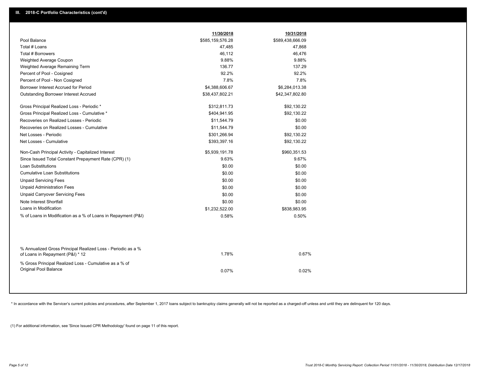|                                                                                                  | 11/30/2018       | 10/31/2018       |  |
|--------------------------------------------------------------------------------------------------|------------------|------------------|--|
| Pool Balance                                                                                     | \$585,159,576.28 | \$589,438,666.09 |  |
| Total # Loans                                                                                    | 47,485           | 47,868           |  |
| <b>Total # Borrowers</b>                                                                         | 46,112           | 46,476           |  |
| Weighted Average Coupon                                                                          | 9.88%            | 9.88%            |  |
| Weighted Average Remaining Term                                                                  | 136.77           | 137.29           |  |
| Percent of Pool - Cosigned                                                                       | 92.2%            | 92.2%            |  |
| Percent of Pool - Non Cosigned                                                                   | 7.8%             | 7.8%             |  |
| Borrower Interest Accrued for Period                                                             | \$4,388,606.67   | \$6,284,013.38   |  |
| <b>Outstanding Borrower Interest Accrued</b>                                                     | \$38,437,802.21  | \$42,347,802.80  |  |
| Gross Principal Realized Loss - Periodic *                                                       | \$312,811.73     | \$92,130.22      |  |
| Gross Principal Realized Loss - Cumulative *                                                     | \$404,941.95     | \$92,130.22      |  |
| Recoveries on Realized Losses - Periodic                                                         | \$11,544.79      | \$0.00           |  |
| Recoveries on Realized Losses - Cumulative                                                       | \$11,544.79      | \$0.00           |  |
| Net Losses - Periodic                                                                            | \$301,266.94     | \$92,130.22      |  |
| Net Losses - Cumulative                                                                          | \$393,397.16     | \$92,130.22      |  |
| Non-Cash Principal Activity - Capitalized Interest                                               | \$5,939,191.78   | \$960,351.53     |  |
| Since Issued Total Constant Prepayment Rate (CPR) (1)                                            | 9.63%            | 9.67%            |  |
| <b>Loan Substitutions</b>                                                                        | \$0.00           | \$0.00           |  |
| <b>Cumulative Loan Substitutions</b>                                                             | \$0.00           | \$0.00           |  |
| <b>Unpaid Servicing Fees</b>                                                                     | \$0.00           | \$0.00           |  |
| <b>Unpaid Administration Fees</b>                                                                | \$0.00           | \$0.00           |  |
| <b>Unpaid Carryover Servicing Fees</b>                                                           | \$0.00           | \$0.00           |  |
| Note Interest Shortfall                                                                          | \$0.00           | \$0.00           |  |
| Loans in Modification                                                                            | \$1,232,522.00   | \$838,983.95     |  |
| % of Loans in Modification as a % of Loans in Repayment (P&I)                                    | 0.58%            | 0.50%            |  |
|                                                                                                  |                  |                  |  |
| % Annualized Gross Principal Realized Loss - Periodic as a %<br>of Loans in Repayment (P&I) * 12 | 1.78%            | 0.67%            |  |
|                                                                                                  |                  |                  |  |
| % Gross Principal Realized Loss - Cumulative as a % of<br>Original Pool Balance                  | 0.07%            | 0.02%            |  |
|                                                                                                  |                  |                  |  |

\* In accordance with the Servicer's current policies and procedures, after September 1, 2017 loans subject to bankruptcy claims generally will not be reported as a charged-off unless and until they are delinquent for 120 d

(1) For additional information, see 'Since Issued CPR Methodology' found on page 11 of this report.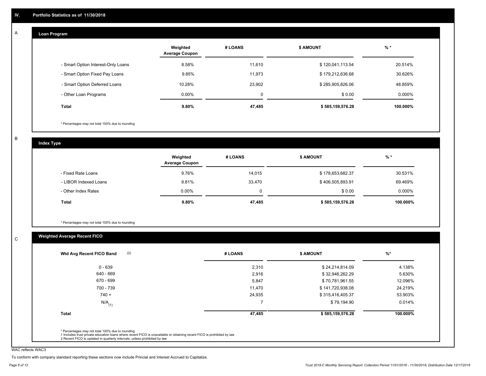#### **Loan Program**  A

|                                    | Weighted<br><b>Average Coupon</b> | # LOANS | <b>\$ AMOUNT</b> | $%$ *     |
|------------------------------------|-----------------------------------|---------|------------------|-----------|
| - Smart Option Interest-Only Loans | 8.58%                             | 11,610  | \$120,041,113.54 | 20.514%   |
| - Smart Option Fixed Pay Loans     | 9.85%                             | 11,973  | \$179,212,636.68 | 30.626%   |
| - Smart Option Deferred Loans      | 10.28%                            | 23.902  | \$285,905,826.06 | 48.859%   |
| - Other Loan Programs              | $0.00\%$                          | 0       | \$0.00           | $0.000\%$ |
| <b>Total</b>                       | $9.80\%$                          | 47,485  | \$585,159,576.28 | 100.000%  |

\* Percentages may not total 100% due to rounding

B

C

**Index Type**

|                       | Weighted<br><b>Average Coupon</b> | # LOANS | \$ AMOUNT        | $%$ *     |
|-----------------------|-----------------------------------|---------|------------------|-----------|
| - Fixed Rate Loans    | 9.76%                             | 14,015  | \$178,653,682.37 | 30.531%   |
| - LIBOR Indexed Loans | 9.81%                             | 33,470  | \$406,505,893.91 | 69.469%   |
| - Other Index Rates   | $0.00\%$                          | 0       | \$0.00           | $0.000\%$ |
| <b>Total</b>          | 9.80%                             | 47,485  | \$585,159,576.28 | 100.000%  |

\* Percentages may not total 100% due to rounding

# **Weighted Average Recent FICO**

|                      | # LOANS | <b>\$ AMOUNT</b> | $%$ *    |
|----------------------|---------|------------------|----------|
| $0 - 639$            | 2,310   | \$24,214,814.09  | 4.138%   |
| 640 - 669            | 2,916   | \$32,946,262.29  | 5.630%   |
| 670 - 699            | 5,847   | \$70,781,961.55  | 12.096%  |
| 700 - 739            | 11.470  | \$141,720,938.08 | 24.219%  |
| $740 +$              | 24,935  | \$315,416,405.37 | 53.903%  |
| $N/A$ <sub>(1)</sub> |         | \$79,194.90      | 0.014%   |
| <b>Total</b>         | 47,485  | \$585,159,576.28 | 100.000% |

WAC reflects WAC3

To conform with company standard reporting these sections now include Princial and Interest Accrued to Capitalize.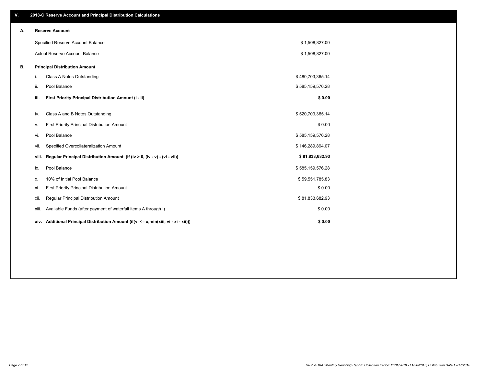| V. |       | 2018-C Reserve Account and Principal Distribution Calculations                   |                  |  |
|----|-------|----------------------------------------------------------------------------------|------------------|--|
| А. |       | <b>Reserve Account</b>                                                           |                  |  |
|    |       | Specified Reserve Account Balance                                                | \$1,508,827.00   |  |
|    |       | Actual Reserve Account Balance                                                   | \$1,508,827.00   |  |
| В. |       | <b>Principal Distribution Amount</b>                                             |                  |  |
|    | i.    | Class A Notes Outstanding                                                        | \$480,703,365.14 |  |
|    | ii.   | Pool Balance                                                                     | \$585,159,576.28 |  |
|    | iii.  | First Priority Principal Distribution Amount (i - ii)                            | \$0.00           |  |
|    | iv.   | Class A and B Notes Outstanding                                                  | \$520,703,365.14 |  |
|    | ν.    | First Priority Principal Distribution Amount                                     | \$0.00           |  |
|    | vi.   | Pool Balance                                                                     | \$585,159,576.28 |  |
|    | vii.  | Specified Overcollateralization Amount                                           | \$146,289,894.07 |  |
|    | viii. | Regular Principal Distribution Amount (if (iv > 0, (iv - v) - (vi - vii))        | \$81,833,682.93  |  |
|    | ix.   | Pool Balance                                                                     | \$585,159,576.28 |  |
|    | х.    | 10% of Initial Pool Balance                                                      | \$59,551,785.83  |  |
|    | xi.   | First Priority Principal Distribution Amount                                     | \$0.00           |  |
|    | xii.  | Regular Principal Distribution Amount                                            | \$81,833,682.93  |  |
|    | xiii. | Available Funds (after payment of waterfall items A through I)                   | \$0.00           |  |
|    | xiv.  | Additional Principal Distribution Amount (if (vi <= x,min(xiii, vi - xi - xii))) | \$0.00           |  |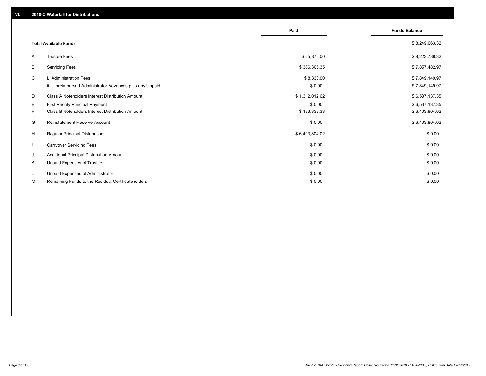|         |                                                                                                    | Paid                   | <b>Funds Balance</b>             |
|---------|----------------------------------------------------------------------------------------------------|------------------------|----------------------------------|
|         | <b>Total Available Funds</b>                                                                       |                        | \$8,249,663.32                   |
| A       | <b>Trustee Fees</b>                                                                                | \$25,875.00            | \$8,223,788.32                   |
| B       | <b>Servicing Fees</b>                                                                              | \$366,305.35           | \$7,857,482.97                   |
| C       | i. Administration Fees<br>ii. Unreimbursed Administrator Advances plus any Unpaid                  | \$8,333.00<br>\$0.00   | \$7,849,149.97<br>\$7,849,149.97 |
| D       | Class A Noteholders Interest Distribution Amount                                                   | \$1,312,012.62         | \$6,537,137.35                   |
| E<br>F. | <b>First Priority Principal Payment</b><br><b>Class B Noteholders Interest Distribution Amount</b> | \$0.00<br>\$133,333.33 | \$6,537,137.35<br>\$6,403,804.02 |
| G       | Reinstatement Reserve Account                                                                      | \$0.00                 | \$6,403,804.02                   |
| H       | Regular Principal Distribution                                                                     | \$6,403,804.02         | \$0.00                           |
|         | <b>Carryover Servicing Fees</b>                                                                    | \$0.00                 | \$0.00                           |
| J       | Additional Principal Distribution Amount                                                           | \$0.00                 | \$0.00                           |
| Κ       | Unpaid Expenses of Trustee                                                                         | \$0.00                 | \$0.00                           |
| L.<br>M | Unpaid Expenses of Administrator<br>Remaining Funds to the Residual Certificateholders             | \$0.00<br>\$0.00       | \$0.00<br>\$0.00                 |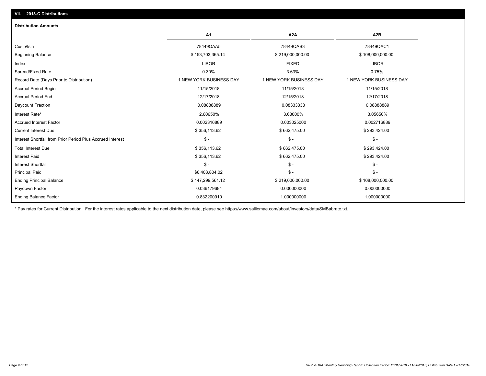| <b>Distribution Amounts</b>                                |                         |                         |                         |
|------------------------------------------------------------|-------------------------|-------------------------|-------------------------|
|                                                            | A1                      | A <sub>2</sub> A        | A <sub>2</sub> B        |
| Cusip/Isin                                                 | 78449QAA5               | 78449QAB3               | 78449QAC1               |
| <b>Beginning Balance</b>                                   | \$153,703,365.14        | \$219,000,000.00        | \$108,000,000.00        |
| Index                                                      | <b>LIBOR</b>            | <b>FIXED</b>            | <b>LIBOR</b>            |
| Spread/Fixed Rate                                          | 0.30%                   | 3.63%                   | 0.75%                   |
| Record Date (Days Prior to Distribution)                   | 1 NEW YORK BUSINESS DAY | 1 NEW YORK BUSINESS DAY | 1 NEW YORK BUSINESS DAY |
| Accrual Period Begin                                       | 11/15/2018              | 11/15/2018              | 11/15/2018              |
| <b>Accrual Period End</b>                                  | 12/17/2018              | 12/15/2018              | 12/17/2018              |
| Daycount Fraction                                          | 0.0888889               | 0.08333333              | 0.08888889              |
| Interest Rate*                                             | 2.60650%                | 3.63000%                | 3.05650%                |
| <b>Accrued Interest Factor</b>                             | 0.002316889             | 0.003025000             | 0.002716889             |
| <b>Current Interest Due</b>                                | \$356,113.62            | \$662,475.00            | \$293,424.00            |
| Interest Shortfall from Prior Period Plus Accrued Interest | $$ -$                   | $\mathsf{\$}$ -         | $$ -$                   |
| <b>Total Interest Due</b>                                  | \$356,113.62            | \$662,475.00            | \$293,424.00            |
| <b>Interest Paid</b>                                       | \$356,113.62            | \$662,475.00            | \$293,424.00            |
| Interest Shortfall                                         | $$ -$                   | $\frac{1}{2}$           | \$ -                    |
| <b>Principal Paid</b>                                      | \$6,403,804.02          | $$ -$                   | $$ -$                   |
| <b>Ending Principal Balance</b>                            | \$147,299,561.12        | \$219,000,000.00        | \$108,000,000.00        |
| Paydown Factor                                             | 0.036179684             | 0.000000000             | 0.000000000             |
| <b>Ending Balance Factor</b>                               | 0.832200910             | 1.000000000             | 1.000000000             |

\* Pay rates for Current Distribution. For the interest rates applicable to the next distribution date, please see https://www.salliemae.com/about/investors/data/SMBabrate.txt.

**VII. 2018-C Distributions**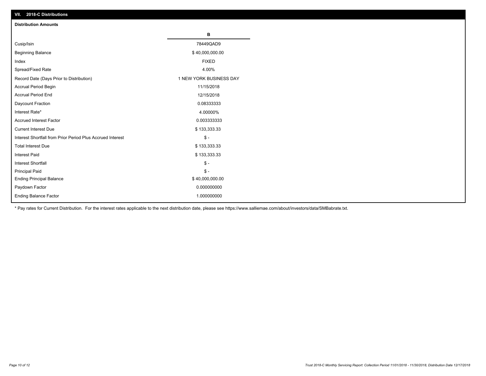| VII. 2018-C Distributions                                  |                         |
|------------------------------------------------------------|-------------------------|
| <b>Distribution Amounts</b>                                |                         |
|                                                            | в                       |
| Cusip/Isin                                                 | 78449QAD9               |
| <b>Beginning Balance</b>                                   | \$40,000,000.00         |
| Index                                                      | <b>FIXED</b>            |
| Spread/Fixed Rate                                          | 4.00%                   |
| Record Date (Days Prior to Distribution)                   | 1 NEW YORK BUSINESS DAY |
| Accrual Period Begin                                       | 11/15/2018              |
| <b>Accrual Period End</b>                                  | 12/15/2018              |
| Daycount Fraction                                          | 0.08333333              |
| Interest Rate*                                             | 4.00000%                |
| <b>Accrued Interest Factor</b>                             | 0.003333333             |
| <b>Current Interest Due</b>                                | \$133,333.33            |
| Interest Shortfall from Prior Period Plus Accrued Interest | $$ -$                   |
| <b>Total Interest Due</b>                                  | \$133,333.33            |
| Interest Paid                                              | \$133,333.33            |
| <b>Interest Shortfall</b>                                  | $$ -$                   |
| <b>Principal Paid</b>                                      | $$ -$                   |
| <b>Ending Principal Balance</b>                            | \$40,000,000.00         |
| Paydown Factor                                             | 0.000000000             |
| <b>Ending Balance Factor</b>                               | 1.000000000             |

\* Pay rates for Current Distribution. For the interest rates applicable to the next distribution date, please see https://www.salliemae.com/about/investors/data/SMBabrate.txt.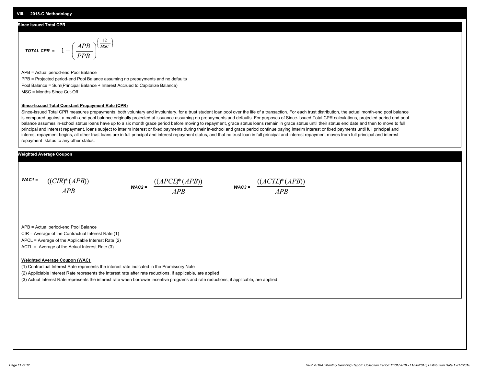### **Since Issued Total CPR**

$$
\text{total CPR} = 1 - \left(\frac{APB}{PPB}\right)^{\left(\frac{12}{MSC}\right)}
$$

APB = Actual period-end Pool Balance PPB = Projected period-end Pool Balance assuming no prepayments and no defaults Pool Balance = Sum(Principal Balance + Interest Accrued to Capitalize Balance) MSC = Months Since Cut-Off

#### **Since-Issued Total Constant Prepayment Rate (CPR)**

Since-Issued Total CPR measures prepayments, both voluntary and involuntary, for a trust student loan pool over the life of a transaction. For each trust distribution, the actual month-end pool balance is compared against a month-end pool balance originally projected at issuance assuming no prepayments and defaults. For purposes of Since-Issued Total CPR calculations, projected period end pool balance assumes in-school status loans have up to a six month grace period before moving to repayment, grace status loans remain in grace status until their status end date and then to move to full principal and interest repayment, loans subject to interim interest or fixed payments during their in-school and grace period continue paying interim interest or fixed payments until full principal and interest repayment begins, all other trust loans are in full principal and interest repayment status, and that no trust loan in full principal and interest repayment moves from full principal and interest repayment status to any other status.

### **Weighted Average Coupon**

*WAC1 = APB* ((*CIR*)\*(*APB*))

*WAC2 = APB*



APB = Actual period-end Pool Balance

CIR = Average of the Contractual Interest Rate (1)

APCL = Average of the Applicable Interest Rate (2)

ACTL = Average of the Actual Interest Rate (3)

#### **Weighted Average Coupon (WAC)**

(1) Contractual Interest Rate represents the interest rate indicated in the Promissory Note

(2) Appliclable Interest Rate represents the interest rate after rate reductions, if applicable, are applied

(3) Actual Interest Rate represents the interest rate when borrower incentive programs and rate reductions, if applicable, are applied